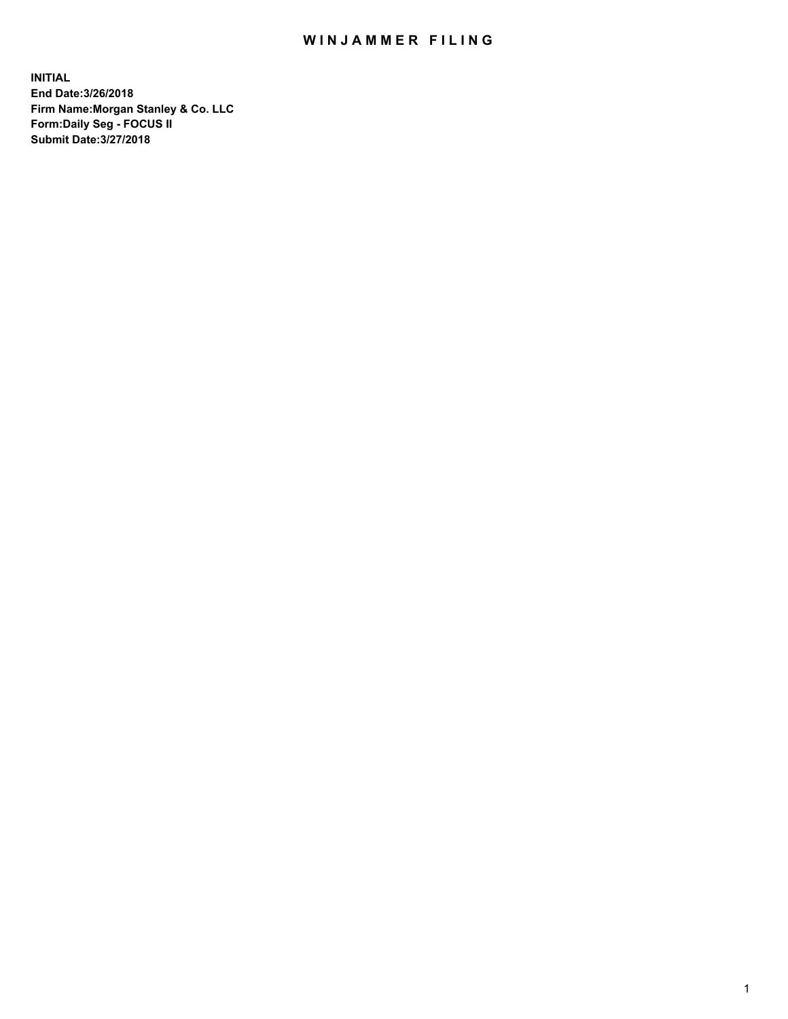# WIN JAMMER FILING

**INITIAL End Date:3/26/2018 Firm Name:Morgan Stanley & Co. LLC Form:Daily Seg - FOCUS II Submit Date:3/27/2018**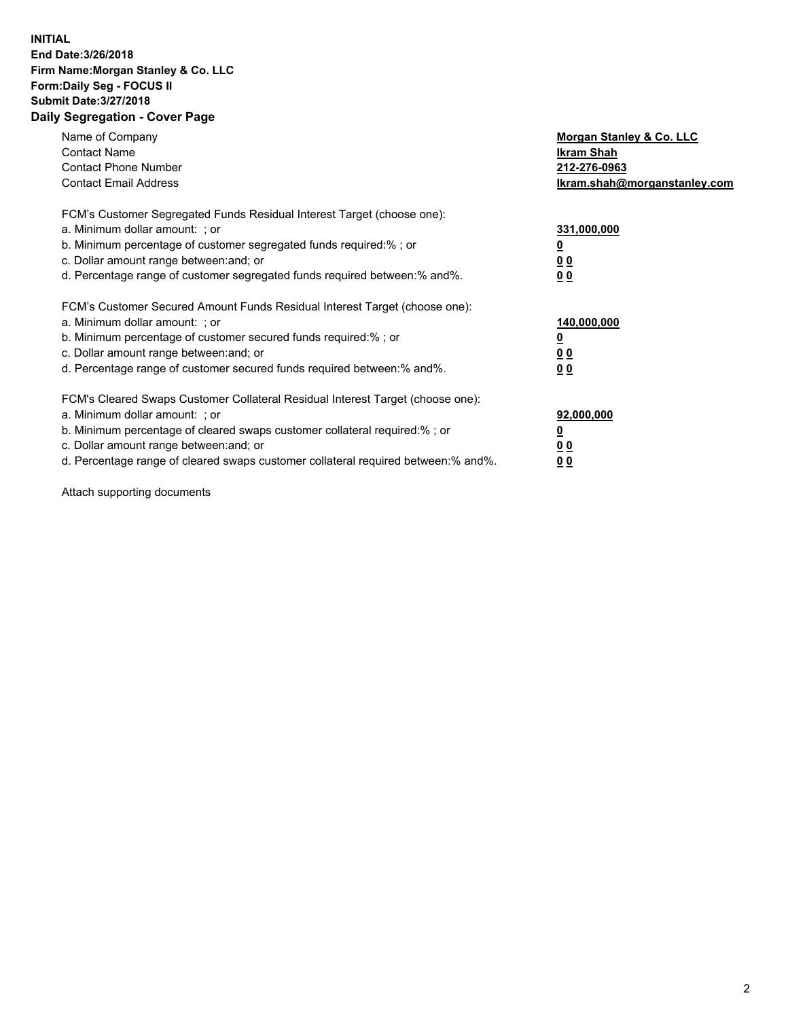## **INITIAL End Date:3/26/2018 Firm Name:Morgan Stanley & Co. LLC Form:Daily Seg - FOCUS II Submit Date:3/27/2018 Daily Segregation - Cover Page**

| Name of Company<br><b>Contact Name</b><br><b>Contact Phone Number</b><br><b>Contact Email Address</b>                                                                                                                                                                                                                         | Morgan Stanley & Co. LLC<br>Ikram Shah<br>212-276-0963<br>lkram.shah@morganstanley.com |
|-------------------------------------------------------------------------------------------------------------------------------------------------------------------------------------------------------------------------------------------------------------------------------------------------------------------------------|----------------------------------------------------------------------------------------|
| FCM's Customer Segregated Funds Residual Interest Target (choose one):<br>a. Minimum dollar amount: ; or<br>b. Minimum percentage of customer segregated funds required:%; or<br>c. Dollar amount range between: and; or<br>d. Percentage range of customer segregated funds required between:% and%.                         | 331,000,000<br>0 <sub>0</sub><br>00                                                    |
| FCM's Customer Secured Amount Funds Residual Interest Target (choose one):<br>a. Minimum dollar amount: ; or<br>b. Minimum percentage of customer secured funds required:%; or<br>c. Dollar amount range between: and; or<br>d. Percentage range of customer secured funds required between:% and%.                           | 140,000,000<br>0 <sub>0</sub><br>0 <sub>0</sub>                                        |
| FCM's Cleared Swaps Customer Collateral Residual Interest Target (choose one):<br>a. Minimum dollar amount: ; or<br>b. Minimum percentage of cleared swaps customer collateral required:%; or<br>c. Dollar amount range between: and; or<br>d. Percentage range of cleared swaps customer collateral required between:% and%. | 92,000,000<br>0 <sub>0</sub><br><u>00</u>                                              |

Attach supporting documents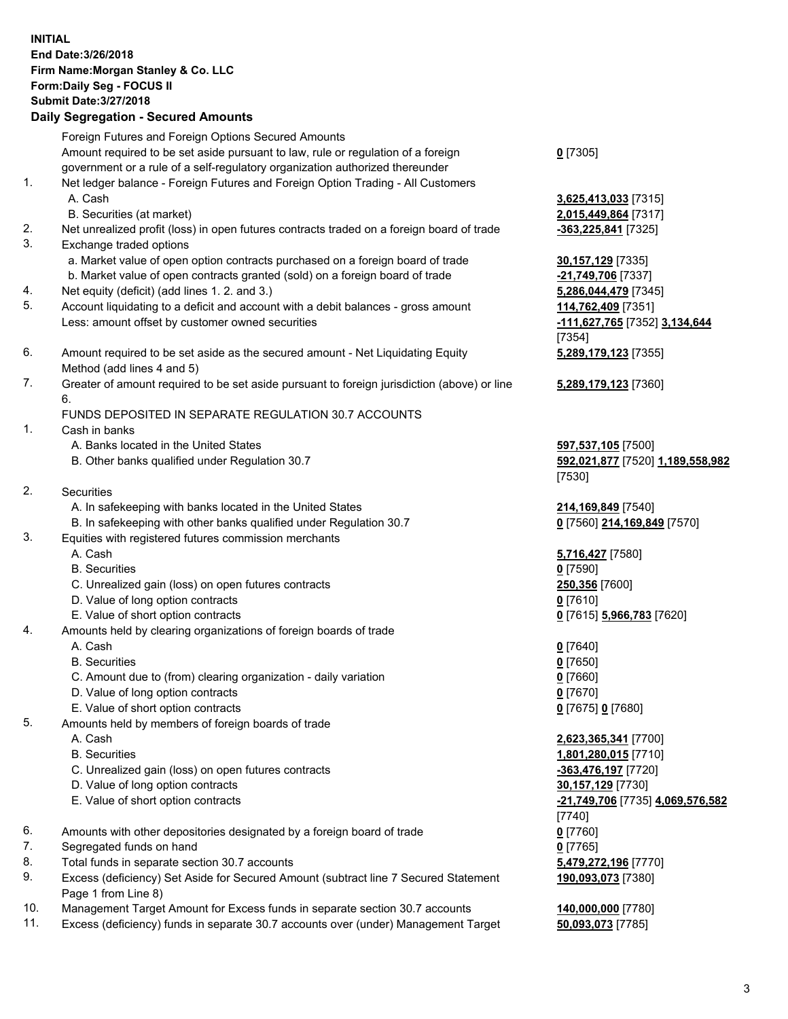### **INITIAL End Date:3/26/2018 Firm Name:Morgan Stanley & Co. LLC Form:Daily Seg - FOCUS II Submit Date:3/27/2018 Daily Segregation - Secured Amounts**

Foreign Futures and Foreign Options Secured Amounts Amount required to be set aside pursuant to law, rule or regulation of a foreign government or a rule of a self-regulatory organization authorized thereunder

- 1. Net ledger balance Foreign Futures and Foreign Option Trading All Customers A. Cash **3,625,413,033** [7315]
	- B. Securities (at market) **2,015,449,864** [7317]
- 2. Net unrealized profit (loss) in open futures contracts traded on a foreign board of trade **-363,225,841** [7325]
- 3. Exchange traded options
	- a. Market value of open option contracts purchased on a foreign board of trade **30,157,129** [7335]
	- b. Market value of open contracts granted (sold) on a foreign board of trade **-21,749,706** [7337]
- 4. Net equity (deficit) (add lines 1. 2. and 3.) **5,286,044,479** [7345]
- 5. Account liquidating to a deficit and account with a debit balances gross amount **114,762,409** [7351] Less: amount offset by customer owned securities **-111,627,765** [7352] **3,134,644**
- 6. Amount required to be set aside as the secured amount Net Liquidating Equity Method (add lines 4 and 5)
- 7. Greater of amount required to be set aside pursuant to foreign jurisdiction (above) or line 6.

# FUNDS DEPOSITED IN SEPARATE REGULATION 30.7 ACCOUNTS

- 1. Cash in banks
	- A. Banks located in the United States **597,537,105** [7500]
	- B. Other banks qualified under Regulation 30.7 **592,021,877** [7520] **1,189,558,982**
- 2. Securities
	- A. In safekeeping with banks located in the United States **214,169,849** [7540]
	- B. In safekeeping with other banks qualified under Regulation 30.7 **0** [7560] **214,169,849** [7570]
- 3. Equities with registered futures commission merchants
	-
	-
	- C. Unrealized gain (loss) on open futures contracts **250,356** [7600]
	- D. Value of long option contracts **0** [7610]
- E. Value of short option contracts **0** [7615] **5,966,783** [7620]
- 4. Amounts held by clearing organizations of foreign boards of trade
	-
	-
	- C. Amount due to (from) clearing organization daily variation **0** [7660]
	- D. Value of long option contracts **0** [7670]
	- E. Value of short option contracts **0** [7675] **0** [7680]
- 5. Amounts held by members of foreign boards of trade
	-
	-
	- C. Unrealized gain (loss) on open futures contracts **-363,476,197** [7720]
	- D. Value of long option contracts **30,157,129** [7730]
	- E. Value of short option contracts **-21,749,706** [7735] **4,069,576,582**
- 6. Amounts with other depositories designated by a foreign board of trade **0** [7760]
- 7. Segregated funds on hand **0** [7765]
- 8. Total funds in separate section 30.7 accounts **5,479,272,196** [7770]
- 9. Excess (deficiency) Set Aside for Secured Amount (subtract line 7 Secured Statement Page 1 from Line 8)
- 10. Management Target Amount for Excess funds in separate section 30.7 accounts **140,000,000** [7780]
- 11. Excess (deficiency) funds in separate 30.7 accounts over (under) Management Target **50,093,073** [7785]

**0** [7305]

[7354] **5,289,179,123** [7355]

**5,289,179,123** [7360]

[7530]

 A. Cash **5,716,427** [7580] B. Securities **0** [7590]

 A. Cash **0** [7640] B. Securities **0** [7650]

 A. Cash **2,623,365,341** [7700] B. Securities **1,801,280,015** [7710] [7740] **190,093,073** [7380]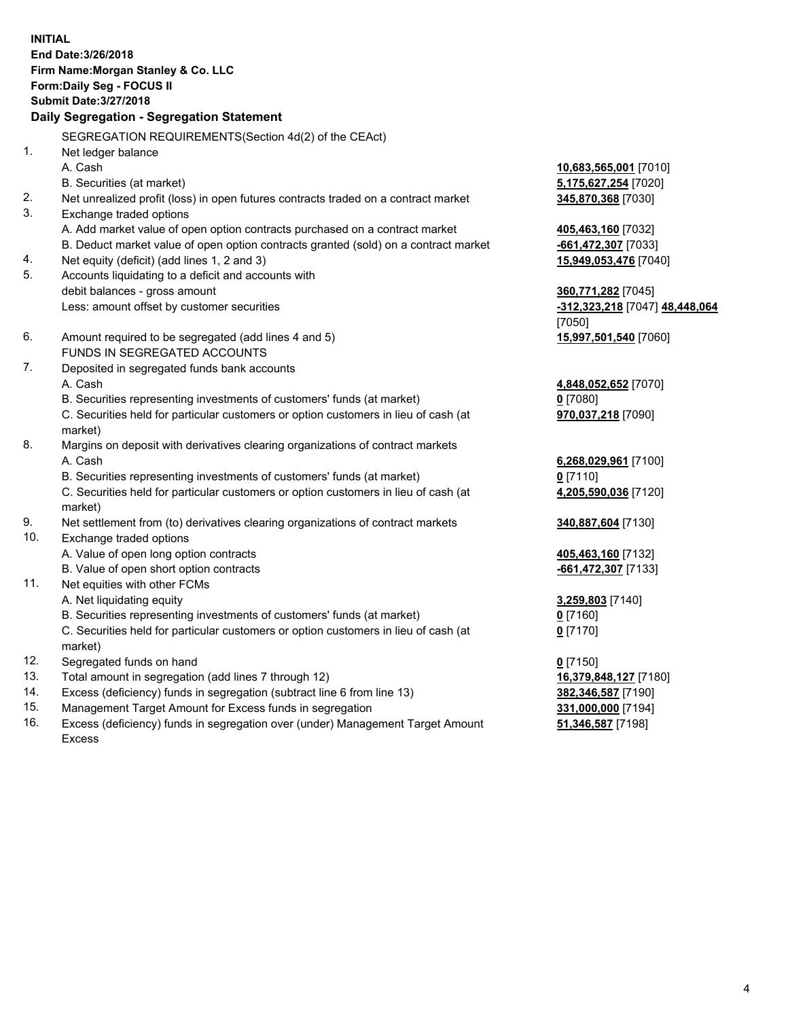**INITIAL End Date:3/26/2018 Firm Name:Morgan Stanley & Co. LLC Form:Daily Seg - FOCUS II Submit Date:3/27/2018 Daily Segregation - Segregation Statement** SEGREGATION REQUIREMENTS(Section 4d(2) of the CEAct) 1. Net ledger balance A. Cash **10,683,565,001** [7010] B. Securities (at market) **5,175,627,254** [7020] 2. Net unrealized profit (loss) in open futures contracts traded on a contract market **345,870,368** [7030] 3. Exchange traded options A. Add market value of open option contracts purchased on a contract market **405,463,160** [7032] B. Deduct market value of open option contracts granted (sold) on a contract market **-661,472,307** [7033] 4. Net equity (deficit) (add lines 1, 2 and 3) **15,949,053,476** [7040] 5. Accounts liquidating to a deficit and accounts with debit balances - gross amount **360,771,282** [7045] Less: amount offset by customer securities **-312,323,218** [7047] **48,448,064** [7050] 6. Amount required to be segregated (add lines 4 and 5) **15,997,501,540** [7060] FUNDS IN SEGREGATED ACCOUNTS 7. Deposited in segregated funds bank accounts A. Cash **4,848,052,652** [7070] B. Securities representing investments of customers' funds (at market) **0** [7080] C. Securities held for particular customers or option customers in lieu of cash (at market) **970,037,218** [7090] 8. Margins on deposit with derivatives clearing organizations of contract markets A. Cash **6,268,029,961** [7100] B. Securities representing investments of customers' funds (at market) **0** [7110] C. Securities held for particular customers or option customers in lieu of cash (at market) **4,205,590,036** [7120] 9. Net settlement from (to) derivatives clearing organizations of contract markets **340,887,604** [7130] 10. Exchange traded options A. Value of open long option contracts **405,463,160** [7132] B. Value of open short option contracts **-661,472,307** [7133] 11. Net equities with other FCMs A. Net liquidating equity **3,259,803** [7140] B. Securities representing investments of customers' funds (at market) **0** [7160] C. Securities held for particular customers or option customers in lieu of cash (at market) **0** [7170] 12. Segregated funds on hand **0** [7150] 13. Total amount in segregation (add lines 7 through 12) **16,379,848,127** [7180] 14. Excess (deficiency) funds in segregation (subtract line 6 from line 13) **382,346,587** [7190]

- 15. Management Target Amount for Excess funds in segregation **331,000,000** [7194]
- 16. Excess (deficiency) funds in segregation over (under) Management Target Amount Excess

**51,346,587** [7198]